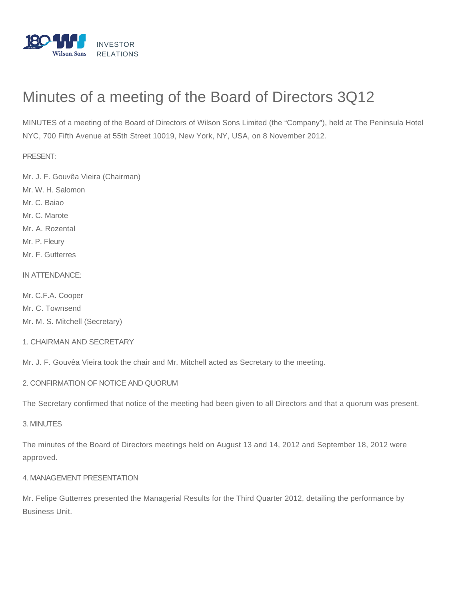

# Minutes of a meeting of the Board of Directors 3Q12

MINUTES of a meeting of the Board of Directors of Wilson Sons Limited (the "Company"), held at The Peninsula Hotel NYC, 700 Fifth Avenue at 55th Street 10019, New York, NY, USA, on 8 November 2012.

PRESENT:

Mr. J. F. Gouvêa Vieira (Chairman)

Mr. W. H. Salomon

Mr. C. Baiao

Mr. C. Marote

Mr. A. Rozental

Mr. P. Fleury

Mr. F. Gutterres

IN ATTENDANCE:

Mr. C.F.A. Cooper Mr. C. Townsend Mr. M. S. Mitchell (Secretary)

1. CHAIRMAN AND SECRETARY

Mr. J. F. Gouvêa Vieira took the chair and Mr. Mitchell acted as Secretary to the meeting.

2. CONFIRMATION OF NOTICE AND QUORUM

The Secretary confirmed that notice of the meeting had been given to all Directors and that a quorum was present.

3. MINUTES

The minutes of the Board of Directors meetings held on August 13 and 14, 2012 and September 18, 2012 were approved.

## 4. MANAGEMENT PRESENTATION

Mr. Felipe Gutterres presented the Managerial Results for the Third Quarter 2012, detailing the performance by Business Unit.